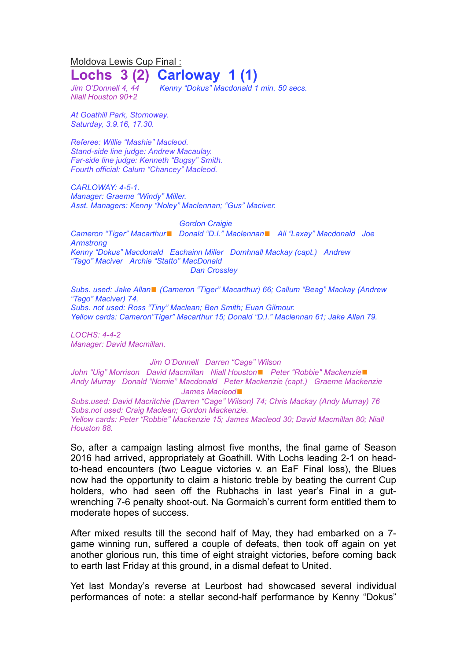Moldova Lewis Cup Final :

## **Lochs 3 (2) Carloway 1 (1)**

*Niall Houston 90+2*

*Kenny* "Dokus" Macdonald 1 *min.* 50 secs.

*At Goathill Park, Stornoway. Saturday, 3.9.16, 17.30.*

*Referee: Willie "Mashie" Macleod. Stand-side line judge: Andrew Macaulay. Far-side line judge: Kenneth "Bugsy" Smith. Fourth official: Calum "Chancey" Macleod.*

*CARLOWAY: 4-5-1. Manager: Graeme "Windy" Miller. Asst. Managers: Kenny "Noley" Maclennan; "Gus" Maciver.*

*Gordon Craigie Cameron "Tiger" Macarthur*◼ *Donald "D.I." Maclennan*◼ *Ali "Laxay" Macdonald Joe Armstrong Kenny "Dokus" Macdonald Eachainn Miller Domhnall Mackay (capt.) Andrew "Tago" Maciver Archie "Statto" MacDonald Dan Crossley*

*Subs. used: Jake Allan*◼ *(Cameron "Tiger" Macarthur) 66; Callum "Beag" Mackay (Andrew "Tago" Maciver) 74. Subs. not used: Ross "Tiny" Maclean; Ben Smith; Euan Gilmour. Yellow cards: Cameron"Tiger" Macarthur 15; Donald "D.I." Maclennan 61; Jake Allan 79.*

*LOCHS: 4-4-2 Manager: David Macmillan.*

## *Jim O'Donnell Darren "Cage" Wilson*

*John "Uig" Morrison David Macmillan Niall Houston*◼ *Peter "Robbie" Mackenzie*◼ *Andy Murray Donald "Nomie" Macdonald Peter Mackenzie (capt.) Graeme Mackenzie James Macleod*◼

*Subs.used: David Macritchie (Darren "Cage" Wilson) 74; Chris Mackay (Andy Murray) 76 Subs.not used: Craig Maclean; Gordon Mackenzie. Yellow cards: Peter "Robbie" Mackenzie 15; James Macleod 30; David Macmillan 80; Niall Houston 88.*

So, after a campaign lasting almost five months, the final game of Season 2016 had arrived, appropriately at Goathill. With Lochs leading 2-1 on headto-head encounters (two League victories v. an EaF Final loss), the Blues now had the opportunity to claim a historic treble by beating the current Cup holders, who had seen off the Rubhachs in last year's Final in a gutwrenching 7-6 penalty shoot-out. Na Gormaich's current form entitled them to moderate hopes of success.

After mixed results till the second half of May, they had embarked on a 7 game winning run, suffered a couple of defeats, then took off again on yet another glorious run, this time of eight straight victories, before coming back to earth last Friday at this ground, in a dismal defeat to United.

Yet last Monday's reverse at Leurbost had showcased several individual performances of note: a stellar second-half performance by Kenny "Dokus"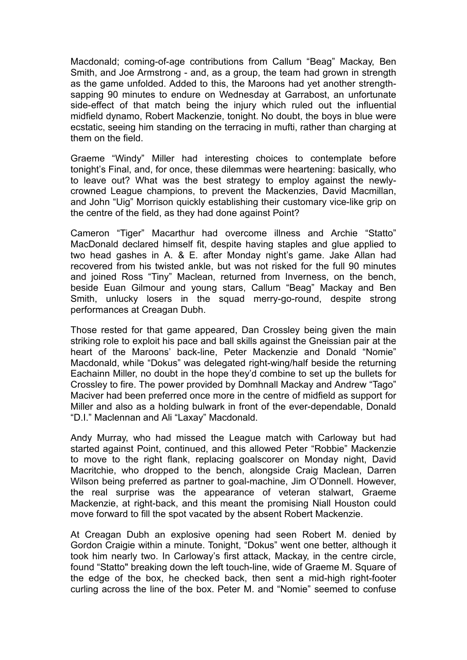Macdonald; coming-of-age contributions from Callum "Beag" Mackay, Ben Smith, and Joe Armstrong - and, as a group, the team had grown in strength as the game unfolded. Added to this, the Maroons had yet another strengthsapping 90 minutes to endure on Wednesday at Garrabost, an unfortunate side-effect of that match being the injury which ruled out the influential midfield dynamo, Robert Mackenzie, tonight. No doubt, the boys in blue were ecstatic, seeing him standing on the terracing in mufti, rather than charging at them on the field.

Graeme "Windy" Miller had interesting choices to contemplate before tonight's Final, and, for once, these dilemmas were heartening: basically, who to leave out? What was the best strategy to employ against the newlycrowned League champions, to prevent the Mackenzies, David Macmillan, and John "Uig" Morrison quickly establishing their customary vice-like grip on the centre of the field, as they had done against Point?

Cameron "Tiger" Macarthur had overcome illness and Archie "Statto" MacDonald declared himself fit, despite having staples and glue applied to two head gashes in A. & E. after Monday night's game. Jake Allan had recovered from his twisted ankle, but was not risked for the full 90 minutes and joined Ross "Tiny" Maclean, returned from Inverness, on the bench, beside Euan Gilmour and young stars, Callum "Beag" Mackay and Ben Smith, unlucky losers in the squad merry-go-round, despite strong performances at Creagan Dubh.

Those rested for that game appeared, Dan Crossley being given the main striking role to exploit his pace and ball skills against the Gneissian pair at the heart of the Maroons' back-line, Peter Mackenzie and Donald "Nomie" Macdonald, while "Dokus" was delegated right-wing/half beside the returning Eachainn Miller, no doubt in the hope they'd combine to set up the bullets for Crossley to fire. The power provided by Domhnall Mackay and Andrew "Tago" Maciver had been preferred once more in the centre of midfield as support for Miller and also as a holding bulwark in front of the ever-dependable, Donald "D.I." Maclennan and Ali "Laxay" Macdonald.

Andy Murray, who had missed the League match with Carloway but had started against Point, continued, and this allowed Peter "Robbie" Mackenzie to move to the right flank, replacing goalscorer on Monday night, David Macritchie, who dropped to the bench, alongside Craig Maclean, Darren Wilson being preferred as partner to goal-machine, Jim O'Donnell. However, the real surprise was the appearance of veteran stalwart, Graeme Mackenzie, at right-back, and this meant the promising Niall Houston could move forward to fill the spot vacated by the absent Robert Mackenzie.

At Creagan Dubh an explosive opening had seen Robert M. denied by Gordon Craigie within a minute. Tonight, "Dokus" went one better, although it took him nearly two. In Carloway's first attack, Mackay, in the centre circle, found "Statto" breaking down the left touch-line, wide of Graeme M. Square of the edge of the box, he checked back, then sent a mid-high right-footer curling across the line of the box. Peter M. and "Nomie" seemed to confuse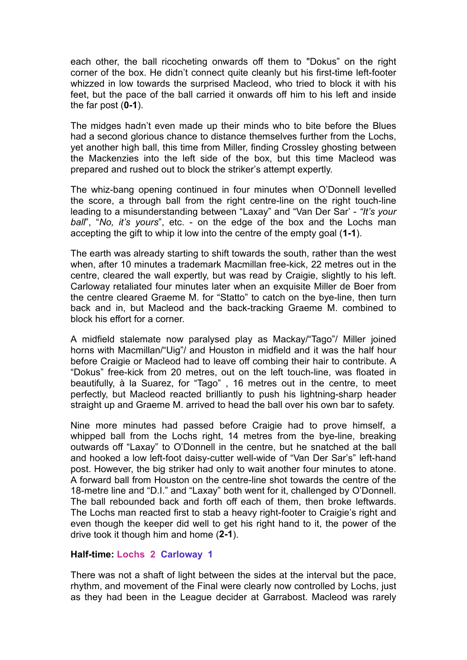each other, the ball ricocheting onwards off them to "Dokus" on the right corner of the box. He didn't connect quite cleanly but his first-time left-footer whizzed in low towards the surprised Macleod, who tried to block it with his feet, but the pace of the ball carried it onwards off him to his left and inside the far post (**0-1**).

The midges hadn't even made up their minds who to bite before the Blues had a second glorious chance to distance themselves further from the Lochs, yet another high ball, this time from Miller, finding Crossley ghosting between the Mackenzies into the left side of the box, but this time Macleod was prepared and rushed out to block the striker's attempt expertly.

The whiz-bang opening continued in four minutes when O'Donnell levelled the score, a through ball from the right centre-line on the right touch-line leading to a misunderstanding between "Laxay" and "Van Der Sar' - *"It's your ball*", "*No, it's yours*", etc. - on the edge of the box and the Lochs man accepting the gift to whip it low into the centre of the empty goal (**1-1**).

The earth was already starting to shift towards the south, rather than the west when, after 10 minutes a trademark Macmillan free-kick, 22 metres out in the centre, cleared the wall expertly, but was read by Craigie, slightly to his left. Carloway retaliated four minutes later when an exquisite Miller de Boer from the centre cleared Graeme M. for "Statto" to catch on the bye-line, then turn back and in, but Macleod and the back-tracking Graeme M. combined to block his effort for a corner.

A midfield stalemate now paralysed play as Mackay/"Tago"/ Miller joined horns with Macmillan/"Uig"/ and Houston in midfield and it was the half hour before Craigie or Macleod had to leave off combing their hair to contribute. A "Dokus" free-kick from 20 metres, out on the left touch-line, was floated in beautifully, à la Suarez, for "Tago" , 16 metres out in the centre, to meet perfectly, but Macleod reacted brilliantly to push his lightning-sharp header straight up and Graeme M. arrived to head the ball over his own bar to safety.

Nine more minutes had passed before Craigie had to prove himself, a whipped ball from the Lochs right, 14 metres from the bye-line, breaking outwards off "Laxay" to O'Donnell in the centre, but he snatched at the ball and hooked a low left-foot daisy-cutter well-wide of "Van Der Sar's" left-hand post. However, the big striker had only to wait another four minutes to atone. A forward ball from Houston on the centre-line shot towards the centre of the 18-metre line and "D.I." and "Laxay" both went for it, challenged by O'Donnell. The ball rebounded back and forth off each of them, then broke leftwards. The Lochs man reacted first to stab a heavy right-footer to Craigie's right and even though the keeper did well to get his right hand to it, the power of the drive took it though him and home (**2-1**).

## **Half-time: Lochs 2 Carloway 1**

There was not a shaft of light between the sides at the interval but the pace, rhythm, and movement of the Final were clearly now controlled by Lochs, just as they had been in the League decider at Garrabost. Macleod was rarely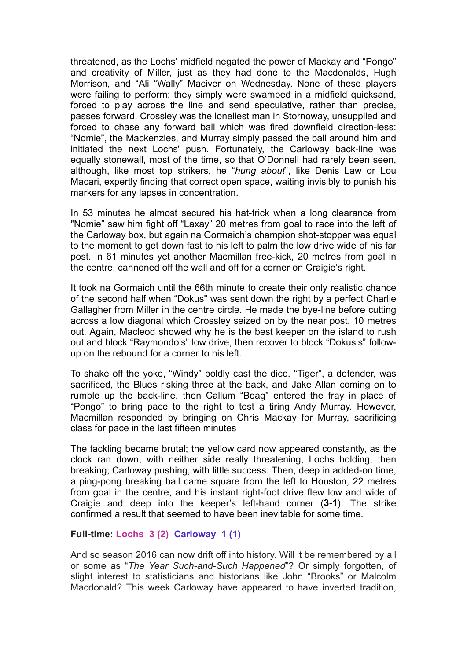threatened, as the Lochs' midfield negated the power of Mackay and "Pongo" and creativity of Miller, just as they had done to the Macdonalds, Hugh Morrison, and "Ali "Wally" Maciver on Wednesday. None of these players were failing to perform; they simply were swamped in a midfield quicksand, forced to play across the line and send speculative, rather than precise, passes forward. Crossley was the loneliest man in Stornoway, unsupplied and forced to chase any forward ball which was fired downfield direction-less: "Nomie", the Mackenzies, and Murray simply passed the ball around him and initiated the next Lochs' push. Fortunately, the Carloway back-line was equally stonewall, most of the time, so that O'Donnell had rarely been seen, although, like most top strikers, he "*hung about*", like Denis Law or Lou Macari, expertly finding that correct open space, waiting invisibly to punish his markers for any lapses in concentration.

In 53 minutes he almost secured his hat-trick when a long clearance from "Nomie" saw him fight off "Laxay" 20 metres from goal to race into the left of the Carloway box, but again na Gormaich's champion shot-stopper was equal to the moment to get down fast to his left to palm the low drive wide of his far post. In 61 minutes yet another Macmillan free-kick, 20 metres from goal in the centre, cannoned off the wall and off for a corner on Craigie's right.

It took na Gormaich until the 66th minute to create their only realistic chance of the second half when "Dokus" was sent down the right by a perfect Charlie Gallagher from Miller in the centre circle. He made the bye-line before cutting across a low diagonal which Crossley seized on by the near post, 10 metres out. Again, Macleod showed why he is the best keeper on the island to rush out and block "Raymondo's" low drive, then recover to block "Dokus's" followup on the rebound for a corner to his left.

To shake off the yoke, "Windy" boldly cast the dice. "Tiger", a defender, was sacrificed, the Blues risking three at the back, and Jake Allan coming on to rumble up the back-line, then Callum "Beag" entered the fray in place of "Pongo" to bring pace to the right to test a tiring Andy Murray. However, Macmillan responded by bringing on Chris Mackay for Murray, sacrificing class for pace in the last fifteen minutes

The tackling became brutal; the yellow card now appeared constantly, as the clock ran down, with neither side really threatening, Lochs holding, then breaking; Carloway pushing, with little success. Then, deep in added-on time, a ping-pong breaking ball came square from the left to Houston, 22 metres from goal in the centre, and his instant right-foot drive flew low and wide of Craigie and deep into the keeper's left-hand corner (**3-1**). The strike confirmed a result that seemed to have been inevitable for some time.

## **Full-time: Lochs 3 (2) Carloway 1 (1)**

And so season 2016 can now drift off into history. Will it be remembered by all or some as "*The Year Such-and-Such Happened*"? Or simply forgotten, of slight interest to statisticians and historians like John "Brooks" or Malcolm Macdonald? This week Carloway have appeared to have inverted tradition,